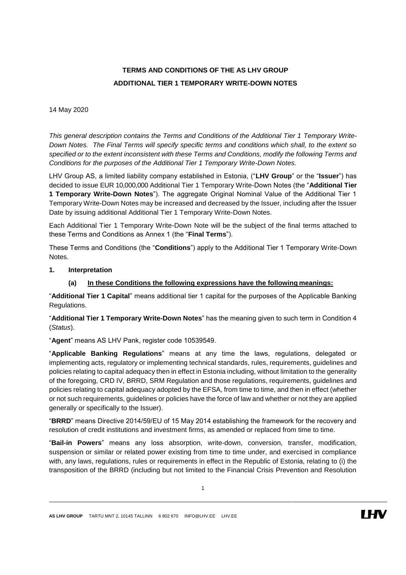# **TERMS AND CONDITIONS OF THE AS LHV GROUP ADDITIONAL TIER 1 TEMPORARY WRITE-DOWN NOTES**

### 14 May 2020

*This general description contains the Terms and Conditions of the Additional Tier 1 Temporary Write-Down Notes. The Final Terms will specify specific terms and conditions which shall, to the extent so specified or to the extent inconsistent with these Terms and Conditions, modify the following Terms and Conditions for the purposes of the Additional Tier 1 Temporary Write-Down Notes.*

LHV Group AS, a limited liability company established in Estonia, ("**LHV Group**" or the "**Issuer**") has decided to issue EUR 10,000,000 Additional Tier 1 Temporary Write-Down Notes (the "**Additional Tier 1 Temporary Write-Down Notes**"). The aggregate Original Nominal Value of the Additional Tier 1 Temporary Write-Down Notes may be increased and decreased by the Issuer, including after the Issuer Date by issuing additional Additional Tier 1 Temporary Write-Down Notes.

Each Additional Tier 1 Temporary Write-Down Note will be the subject of the final terms attached to these Terms and Conditions as Annex 1 (the "**Final Terms**").

These Terms and Conditions (the "**Conditions**") apply to the Additional Tier 1 Temporary Write-Down Notes.

#### **1. Interpretation**

### **(a) In these Conditions the following expressions have the following meanings:**

"**Additional Tier 1 Capital**" means additional tier 1 capital for the purposes of the Applicable Banking Regulations.

"**Additional Tier 1 Temporary Write-Down Notes**" has the meaning given to such term in Condition 4 (*Status*).

"**Agent**" means AS LHV Pank, register code 10539549.

"**Applicable Banking Regulations**" means at any time the laws, regulations, delegated or implementing acts, regulatory or implementing technical standards, rules, requirements, guidelines and policies relating to capital adequacy then in effect in Estonia including, without limitation to the generality of the foregoing, CRD IV, BRRD, SRM Regulation and those regulations, requirements, guidelines and policies relating to capital adequacy adopted by the EFSA, from time to time, and then in effect (whether or not such requirements, guidelines or policies have the force of law and whether or not they are applied generally or specifically to the Issuer).

"**BRRD**" means Directive 2014/59/EU of 15 May 2014 establishing the framework for the recovery and resolution of credit institutions and investment firms, as amended or replaced from time to time.

"**Bail-in Powers**" means any loss absorption, write-down, conversion, transfer, modification, suspension or similar or related power existing from time to time under, and exercised in compliance with, any laws, regulations, rules or requirements in effect in the Republic of Estonia, relating to (i) the transposition of the BRRD (including but not limited to the Financial Crisis Prevention and Resolution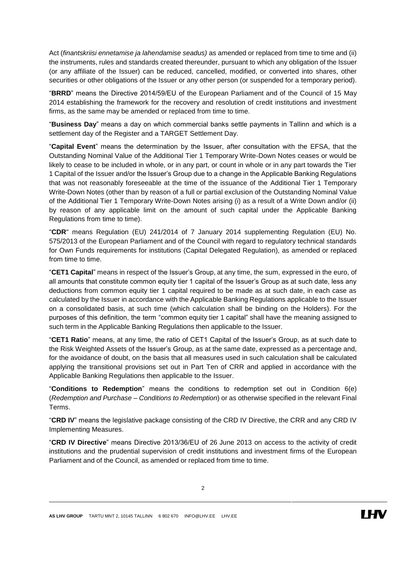Act (*finantskriisi ennetamise ja lahendamise seadus)* as amended or replaced from time to time and (ii) the instruments, rules and standards created thereunder, pursuant to which any obligation of the Issuer (or any affiliate of the Issuer) can be reduced, cancelled, modified, or converted into shares, other securities or other obligations of the Issuer or any other person (or suspended for a temporary period).

"**BRRD**" means the Directive 2014/59/EU of the European Parliament and of the Council of 15 May 2014 establishing the framework for the recovery and resolution of credit institutions and investment firms, as the same may be amended or replaced from time to time.

"**Business Day**" means a day on which commercial banks settle payments in Tallinn and which is a settlement day of the Register and a TARGET Settlement Day.

"**Capital Event**" means the determination by the Issuer, after consultation with the EFSA, that the Outstanding Nominal Value of the Additional Tier 1 Temporary Write-Down Notes ceases or would be likely to cease to be included in whole, or in any part, or count in whole or in any part towards the Tier 1 Capital of the Issuer and/or the Issuer's Group due to a change in the Applicable Banking Regulations that was not reasonably foreseeable at the time of the issuance of the Additional Tier 1 Temporary Write-Down Notes (other than by reason of a full or partial exclusion of the Outstanding Nominal Value of the Additional Tier 1 Temporary Write-Down Notes arising (i) as a result of a Write Down and/or (ii) by reason of any applicable limit on the amount of such capital under the Applicable Banking Regulations from time to time).

"**CDR**" means Regulation (EU) 241/2014 of 7 January 2014 supplementing Regulation (EU) No. 575/2013 of the European Parliament and of the Council with regard to regulatory technical standards for Own Funds requirements for institutions (Capital Delegated Regulation), as amended or replaced from time to time.

"**CET1 Capital**" means in respect of the Issuer's Group, at any time, the sum, expressed in the euro, of all amounts that constitute common equity tier 1 capital of the Issuer's Group as at such date, less any deductions from common equity tier 1 capital required to be made as at such date, in each case as calculated by the Issuer in accordance with the Applicable Banking Regulations applicable to the Issuer on a consolidated basis, at such time (which calculation shall be binding on the Holders). For the purposes of this definition, the term "common equity tier 1 capital" shall have the meaning assigned to such term in the Applicable Banking Regulations then applicable to the Issuer.

"**CET1 Ratio**" means, at any time, the ratio of CET1 Capital of the Issuer's Group, as at such date to the Risk Weighted Assets of the Issuer's Group, as at the same date, expressed as a percentage and, for the avoidance of doubt, on the basis that all measures used in such calculation shall be calculated applying the transitional provisions set out in Part Ten of CRR and applied in accordance with the Applicable Banking Regulations then applicable to the Issuer.

"**Conditions to Redemption**" means the conditions to redemption set out in Condition [6\(e\)](#page-11-0) (*Redemption and Purchase – Conditions to Redemption*) or as otherwise specified in the relevant Final Terms.

"**CRD IV**" means the legislative package consisting of the CRD IV Directive, the CRR and any CRD IV Implementing Measures.

"**CRD IV Directive**" means Directive 2013/36/EU of 26 June 2013 on access to the activity of credit institutions and the prudential supervision of credit institutions and investment firms of the European Parliament and of the Council, as amended or replaced from time to time.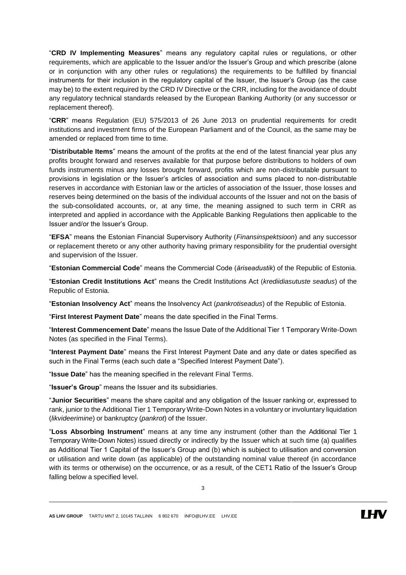"**CRD IV Implementing Measures**" means any regulatory capital rules or regulations, or other requirements, which are applicable to the Issuer and/or the Issuer's Group and which prescribe (alone or in conjunction with any other rules or regulations) the requirements to be fulfilled by financial instruments for their inclusion in the regulatory capital of the Issuer, the Issuer's Group (as the case may be) to the extent required by the CRD IV Directive or the CRR, including for the avoidance of doubt any regulatory technical standards released by the European Banking Authority (or any successor or replacement thereof).

"**CRR**" means Regulation (EU) 575/2013 of 26 June 2013 on prudential requirements for credit institutions and investment firms of the European Parliament and of the Council, as the same may be amended or replaced from time to time.

"**Distributable Items**" means the amount of the profits at the end of the latest financial year plus any profits brought forward and reserves available for that purpose before distributions to holders of own funds instruments minus any losses brought forward, profits which are non-distributable pursuant to provisions in legislation or the Issuer's articles of association and sums placed to non-distributable reserves in accordance with Estonian law or the articles of association of the Issuer, those losses and reserves being determined on the basis of the individual accounts of the Issuer and not on the basis of the sub-consolidated accounts, or, at any time, the meaning assigned to such term in CRR as interpreted and applied in accordance with the Applicable Banking Regulations then applicable to the Issuer and/or the Issuer's Group.

"**EFSA**" means the Estonian Financial Supervisory Authority (*Finansinspektsioon*) and any successor or replacement thereto or any other authority having primary responsibility for the prudential oversight and supervision of the Issuer.

"**Estonian Commercial Code**" means the Commercial Code (*äriseadustik*) of the Republic of Estonia.

"**Estonian Credit Institutions Act**" means the Credit Institutions Act (*krediidiasutuste seadus*) of the Republic of Estonia.

"**Estonian Insolvency Act**" means the Insolvency Act (*pankrotiseadus*) of the Republic of Estonia.

"**First Interest Payment Date**" means the date specified in the Final Terms.

"**Interest Commencement Date**" means the Issue Date of the Additional Tier 1 Temporary Write-Down Notes (as specified in the Final Terms).

"**Interest Payment Date**" means the First Interest Payment Date and any date or dates specified as such in the Final Terms (each such date a "Specified Interest Payment Date").

"**Issue Date**" has the meaning specified in the relevant Final Terms.

"**Issuer's Group**" means the Issuer and its subsidiaries.

"**Junior Securities**" means the share capital and any obligation of the Issuer ranking or, expressed to rank, junior to the Additional Tier 1 Temporary Write-Down Notes in a voluntary or involuntary liquidation (*likvideerimine*) or bankruptcy (*pankrot*) of the Issuer.

"**Loss Absorbing Instrument**" means at any time any instrument (other than the Additional Tier 1 Temporary Write-Down Notes) issued directly or indirectly by the Issuer which at such time (a) qualifies as Additional Tier 1 Capital of the Issuer's Group and (b) which is subject to utilisation and conversion or utilisation and write down (as applicable) of the outstanding nominal value thereof (in accordance with its terms or otherwise) on the occurrence, or as a result, of the CET1 Ratio of the Issuer's Group falling below a specified level.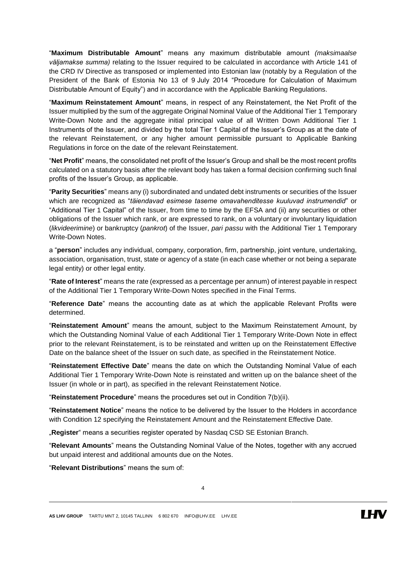"**Maximum Distributable Amount**" means any maximum distributable amount *(maksimaalse väljamakse summa)* relating to the Issuer required to be calculated in accordance with Article 141 of the CRD IV Directive as transposed or implemented into Estonian law (notably by a Regulation of the President of the Bank of Estonia No 13 of 9 July 2014 "Procedure for Calculation of Maximum Distributable Amount of Equity") and in accordance with the Applicable Banking Regulations.

"**Maximum Reinstatement Amount**" means, in respect of any Reinstatement, the Net Profit of the Issuer multiplied by the sum of the aggregate Original Nominal Value of the Additional Tier 1 Temporary Write-Down Note and the aggregate initial principal value of all Written Down Additional Tier 1 Instruments of the Issuer, and divided by the total Tier 1 Capital of the Issuer's Group as at the date of the relevant Reinstatement, or any higher amount permissible pursuant to Applicable Banking Regulations in force on the date of the relevant Reinstatement.

"**Net Profit**" means, the consolidated net profit of the Issuer's Group and shall be the most recent profits calculated on a statutory basis after the relevant body has taken a formal decision confirming such final profits of the Issuer's Group, as applicable.

"**Parity Securities**" means any (i) subordinated and undated debt instruments or securities of the Issuer which are recognized as "*täiendavad esimese taseme omavahenditesse kuuluvad instrumendid*" or "Additional Tier 1 Capital" of the Issuer, from time to time by the EFSA and (ii) any securities or other obligations of the Issuer which rank, or are expressed to rank, on a voluntary or involuntary liquidation (*likvideerimine*) or bankruptcy (*pankrot*) of the Issuer, *pari passu* with the Additional Tier 1 Temporary Write-Down Notes.

a "**person**" includes any individual, company, corporation, firm, partnership, joint venture, undertaking, association, organisation, trust, state or agency of a state (in each case whether or not being a separate legal entity) or other legal entity.

"**Rate of Interest**" means the rate (expressed as a percentage per annum) of interest payable in respect of the Additional Tier 1 Temporary Write-Down Notes specified in the Final Terms.

"**Reference Date**" means the accounting date as at which the applicable Relevant Profits were determined.

"**Reinstatement Amount**" means the amount, subject to the Maximum Reinstatement Amount, by which the Outstanding Nominal Value of each Additional Tier 1 Temporary Write-Down Note in effect prior to the relevant Reinstatement, is to be reinstated and written up on the Reinstatement Effective Date on the balance sheet of the Issuer on such date, as specified in the Reinstatement Notice.

"**Reinstatement Effective Date**" means the date on which the Outstanding Nominal Value of each Additional Tier 1 Temporary Write-Down Note is reinstated and written up on the balance sheet of the Issuer (in whole or in part), as specified in the relevant Reinstatement Notice.

"**Reinstatement Procedure**" means the procedures set out in Condition 7(b)(ii).

"**Reinstatement Notice**" means the notice to be delivered by the Issuer to the Holders in accordance with Condition [12](#page-17-0) specifying the Reinstatement Amount and the Reinstatement Effective Date.

"**Register**" means a securities register operated by Nasdaq CSD SE Estonian Branch.

"**Relevant Amounts**" means the Outstanding Nominal Value of the Notes, together with any accrued but unpaid interest and additional amounts due on the Notes.

"**Relevant Distributions**" means the sum of: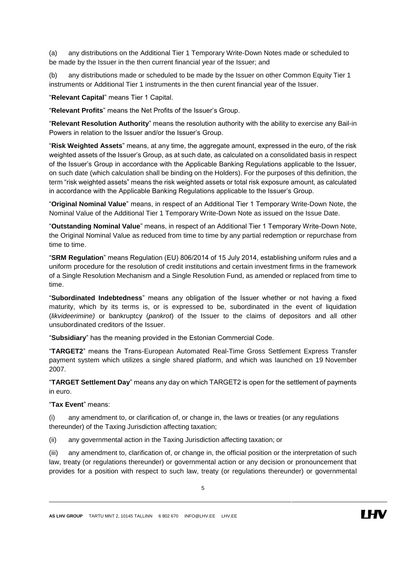(a) any distributions on the Additional Tier 1 Temporary Write-Down Notes made or scheduled to be made by the Issuer in the then current financial year of the Issuer; and

(b) any distributions made or scheduled to be made by the Issuer on other Common Equity Tier 1 instruments or Additional Tier 1 instruments in the then curent financial year of the Issuer.

"**Relevant Capital**" means Tier 1 Capital.

"**Relevant Profits**" means the Net Profits of the Issuer's Group.

"**Relevant Resolution Authority**" means the resolution authority with the ability to exercise any Bail-in Powers in relation to the Issuer and/or the Issuer's Group.

"**Risk Weighted Assets**" means, at any time, the aggregate amount, expressed in the euro, of the risk weighted assets of the Issuer's Group, as at such date, as calculated on a consolidated basis in respect of the Issuer's Group in accordance with the Applicable Banking Regulations applicable to the Issuer, on such date (which calculation shall be binding on the Holders). For the purposes of this definition, the term "risk weighted assets" means the risk weighted assets or total risk exposure amount, as calculated in accordance with the Applicable Banking Regulations applicable to the Issuer's Group.

"**Original Nominal Value**" means, in respect of an Additional Tier 1 Temporary Write-Down Note, the Nominal Value of the Additional Tier 1 Temporary Write-Down Note as issued on the Issue Date.

"**Outstanding Nominal Value**" means, in respect of an Additional Tier 1 Temporary Write-Down Note, the Original Nominal Value as reduced from time to time by any partial redemption or repurchase from time to time.

"**SRM Regulation**" means Regulation (EU) 806/2014 of 15 July 2014, establishing uniform rules and a uniform procedure for the resolution of credit institutions and certain investment firms in the framework of a Single Resolution Mechanism and a Single Resolution Fund, as amended or replaced from time to time.

"**Subordinated Indebtedness**" means any obligation of the Issuer whether or not having a fixed maturity, which by its terms is, or is expressed to be, subordinated in the event of liquidation (*likvideerimine)* or bankruptcy (*pankrot*) of the Issuer to the claims of depositors and all other unsubordinated creditors of the Issuer.

"**Subsidiary**" has the meaning provided in the Estonian Commercial Code.

"**TARGET2**" means the Trans-European Automated Real-Time Gross Settlement Express Transfer payment system which utilizes a single shared platform, and which was launched on 19 November 2007.

"**TARGET Settlement Day**" means any day on which TARGET2 is open for the settlement of payments in euro.

### "**Tax Event**" means:

(i) any amendment to, or clarification of, or change in, the laws or treaties (or any regulations thereunder) of the Taxing Jurisdiction affecting taxation;

(ii) any governmental action in the Taxing Jurisdiction affecting taxation; or

(iii) any amendment to, clarification of, or change in, the official position or the interpretation of such law, treaty (or regulations thereunder) or governmental action or any decision or pronouncement that provides for a position with respect to such law, treaty (or regulations thereunder) or governmental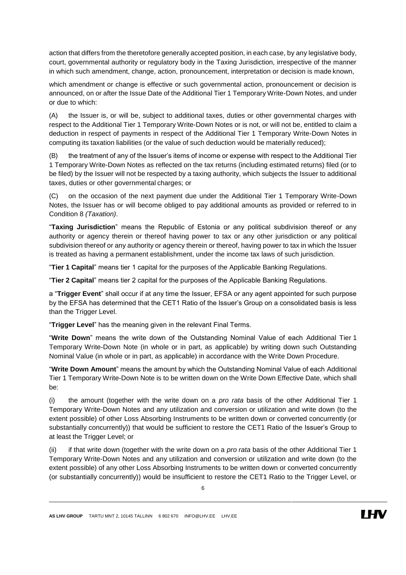action that differs from the theretofore generally accepted position, in each case, by any legislative body, court, governmental authority or regulatory body in the Taxing Jurisdiction, irrespective of the manner in which such amendment, change, action, pronouncement, interpretation or decision is made known,

which amendment or change is effective or such governmental action, pronouncement or decision is announced, on or after the Issue Date of the Additional Tier 1 Temporary Write-Down Notes, and under or due to which:

(A) the Issuer is, or will be, subject to additional taxes, duties or other governmental charges with respect to the Additional Tier 1 Temporary Write-Down Notes or is not, or will not be, entitled to claim a deduction in respect of payments in respect of the Additional Tier 1 Temporary Write-Down Notes in computing its taxation liabilities (or the value of such deduction would be materially reduced);

(B) the treatment of any of the Issuer's items of income or expense with respect to the Additional Tier 1 Temporary Write-Down Notes as reflected on the tax returns (including estimated returns) filed (or to be filed) by the Issuer will not be respected by a taxing authority, which subjects the Issuer to additional taxes, duties or other governmental charges; or

(C) on the occasion of the next payment due under the Additional Tier 1 Temporary Write-Down Notes, the Issuer has or will become obliged to pay additional amounts as provided or referred to in Condition [8](#page-15-0) *(Taxation)*.

"**Taxing Jurisdiction**" means the Republic of Estonia or any political subdivision thereof or any authority or agency therein or thereof having power to tax or any other jurisdiction or any political subdivision thereof or any authority or agency therein or thereof, having power to tax in which the Issuer is treated as having a permanent establishment, under the income tax laws of such jurisdiction.

"**Tier 1 Capital**" means tier 1 capital for the purposes of the Applicable Banking Regulations.

"**Tier 2 Capital**" means tier 2 capital for the purposes of the Applicable Banking Regulations.

a "**Trigger Event**" shall occur if at any time the Issuer, EFSA or any agent appointed for such purpose by the EFSA has determined that the CET1 Ratio of the Issuer's Group on a consolidated basis is less than the Trigger Level.

"**Trigger Level**" has the meaning given in the relevant Final Terms.

"**Write Down**" means the write down of the Outstanding Nominal Value of each Additional Tier 1 Temporary Write-Down Note (in whole or in part, as applicable) by writing down such Outstanding Nominal Value (in whole or in part, as applicable) in accordance with the Write Down Procedure.

"**Write Down Amount**" means the amount by which the Outstanding Nominal Value of each Additional Tier 1 Temporary Write-Down Note is to be written down on the Write Down Effective Date, which shall be:

(i) the amount (together with the write down on a *pro rata* basis of the other Additional Tier 1 Temporary Write-Down Notes and any utilization and conversion or utilization and write down (to the extent possible) of other Loss Absorbing Instruments to be written down or converted concurrently (or substantially concurrently)) that would be sufficient to restore the CET1 Ratio of the Issuer's Group to at least the Trigger Level; or

(ii) if that write down (together with the write down on a *pro rata* basis of the other Additional Tier 1 Temporary Write-Down Notes and any utilization and conversion or utilization and write down (to the extent possible) of any other Loss Absorbing Instruments to be written down or converted concurrently (or substantially concurrently)) would be insufficient to restore the CET1 Ratio to the Trigger Level, or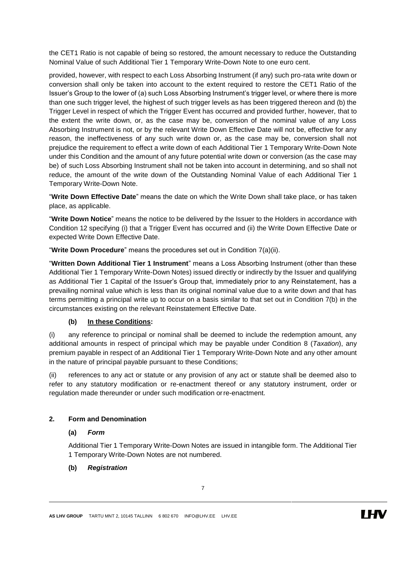the CET1 Ratio is not capable of being so restored, the amount necessary to reduce the Outstanding Nominal Value of such Additional Tier 1 Temporary Write-Down Note to one euro cent.

provided, however, with respect to each Loss Absorbing Instrument (if any) such pro-rata write down or conversion shall only be taken into account to the extent required to restore the CET1 Ratio of the Issuer's Group to the lower of (a) such Loss Absorbing Instrument's trigger level, or where there is more than one such trigger level, the highest of such trigger levels as has been triggered thereon and (b) the Trigger Level in respect of which the Trigger Event has occurred and provided further, however, that to the extent the write down, or, as the case may be, conversion of the nominal value of any Loss Absorbing Instrument is not, or by the relevant Write Down Effective Date will not be, effective for any reason, the ineffectiveness of any such write down or, as the case may be, conversion shall not prejudice the requirement to effect a write down of each Additional Tier 1 Temporary Write-Down Note under this Condition and the amount of any future potential write down or conversion (as the case may be) of such Loss Absorbing Instrument shall not be taken into account in determining, and so shall not reduce, the amount of the write down of the Outstanding Nominal Value of each Additional Tier 1 Temporary Write-Down Note.

"**Write Down Effective Date**" means the date on which the Write Down shall take place, or has taken place, as applicable.

"**Write Down Notice**" means the notice to be delivered by the Issuer to the Holders in accordance with Condition [12](#page-17-0) specifying (i) that a Trigger Event has occurred and (ii) the Write Down Effective Date or expected Write Down Effective Date.

"**Write Down Procedure**" means the procedures set out in Condition [7\(](#page-12-0)a[\)\(ii\).](#page-13-0)

"**Written Down Additional Tier 1 Instrument**" means a Loss Absorbing Instrument (other than these Additional Tier 1 Temporary Write-Down Notes) issued directly or indirectly by the Issuer and qualifying as Additional Tier 1 Capital of the Issuer's Group that, immediately prior to any Reinstatement, has a prevailing nominal value which is less than its original nominal value due to a write down and that has terms permitting a principal write up to occur on a basis similar to that set out in Condition [7\(](#page-12-0)b) in the circumstances existing on the relevant Reinstatement Effective Date.

## **(b) In these Conditions:**

(i) any reference to principal or nominal shall be deemed to include the redemption amount, any additional amounts in respect of principal which may be payable under Condition [8](#page-15-0) (*Taxation*), any premium payable in respect of an Additional Tier 1 Temporary Write-Down Note and any other amount in the nature of principal payable pursuant to these Conditions;

(ii) references to any act or statute or any provision of any act or statute shall be deemed also to refer to any statutory modification or re-enactment thereof or any statutory instrument, order or regulation made thereunder or under such modification orre-enactment.

## **2. Form and Denomination**

## **(a)** *Form*

Additional Tier 1 Temporary Write-Down Notes are issued in intangible form. The Additional Tier 1 Temporary Write-Down Notes are not numbered.

## **(b)** *Registration*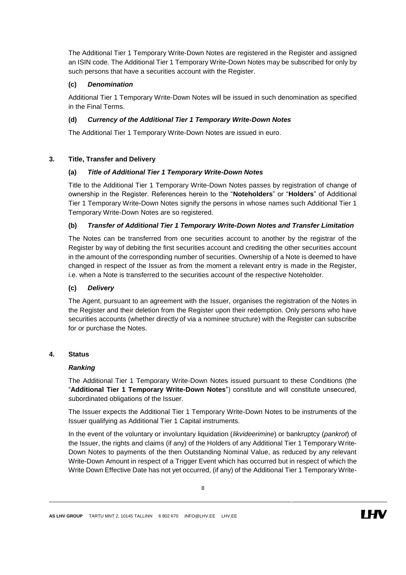The Additional Tier 1 Temporary Write-Down Notes are registered in the Register and assigned an ISIN code. The Additional Tier 1 Temporary Write-Down Notes may be subscribed for only by such persons that have a securities account with the Register.

## **(c)** *Denomination*

Additional Tier 1 Temporary Write-Down Notes will be issued in such denomination as specified in the Final Terms.

## **(d)** *Currency of the Additional Tier 1 Temporary Write-Down Notes*

The Additional Tier 1 Temporary Write-Down Notes are issued in euro.

## **3. Title, Transfer and Delivery**

## **(a)** *Title of Additional Tier 1 Temporary Write-Down Notes*

Title to the Additional Tier 1 Temporary Write-Down Notes passes by registration of change of ownership in the Register. References herein to the "**Noteholders**" or "**Holders**" of Additional Tier 1 Temporary Write-Down Notes signify the persons in whose names such Additional Tier 1 Temporary Write-Down Notes are so registered.

## **(b)** *Transfer of Additional Tier 1 Temporary Write-Down Notes and Transfer Limitation*

The Notes can be transferred from one securities account to another by the registrar of the Register by way of debiting the first securities account and crediting the other securities account in the amount of the corresponding number of securities. Ownership of a Note is deemed to have changed in respect of the Issuer as from the moment a relevant entry is made in the Register, i.e. when a Note is transferred to the securities account of the respective Noteholder.

### **(c)** *Delivery*

The Agent, pursuant to an agreement with the Issuer, organises the registration of the Notes in the Register and their deletion from the Register upon their redemption. Only persons who have securities accounts (whether directly of via a nominee structure) with the Register can subscribe for or purchase the Notes.

## **4. Status**

### *Ranking*

The Additional Tier 1 Temporary Write-Down Notes issued pursuant to these Conditions (the "**Additional Tier 1 Temporary Write-Down Notes**") constitute and will constitute unsecured, subordinated obligations of the Issuer.

The Issuer expects the Additional Tier 1 Temporary Write-Down Notes to be instruments of the Issuer qualifying as Additional Tier 1 Capital instruments.

In the event of the voluntary or involuntary liquidation (*likvideerimine*) or bankruptcy (*pankrot*) of the Issuer, the rights and claims (if any) of the Holders of any Additional Tier 1 Temporary Write-Down Notes to payments of the then Outstanding Nominal Value, as reduced by any relevant Write-Down Amount in respect of a Trigger Event which has occurred but in respect of which the Write Down Effective Date has not yet occurred, (if any) of the Additional Tier 1 Temporary Write-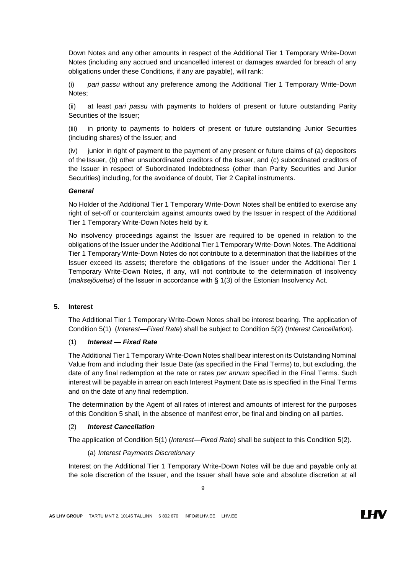Down Notes and any other amounts in respect of the Additional Tier 1 Temporary Write-Down Notes (including any accrued and uncancelled interest or damages awarded for breach of any obligations under these Conditions, if any are payable), will rank:

(i) *pari passu* without any preference among the Additional Tier 1 Temporary Write-Down Notes;

(ii) at least *pari passu* with payments to holders of present or future outstanding Parity Securities of the Issuer;

(iii) in priority to payments to holders of present or future outstanding Junior Securities (including shares) of the Issuer; and

(iv) junior in right of payment to the payment of any present or future claims of (a) depositors of theIssuer, (b) other unsubordinated creditors of the Issuer, and (c) subordinated creditors of the Issuer in respect of Subordinated Indebtedness (other than Parity Securities and Junior Securities) including, for the avoidance of doubt, Tier 2 Capital instruments.

#### *General*

No Holder of the Additional Tier 1 Temporary Write-Down Notes shall be entitled to exercise any right of set-off or counterclaim against amounts owed by the Issuer in respect of the Additional Tier 1 Temporary Write-Down Notes held by it.

No insolvency proceedings against the Issuer are required to be opened in relation to the obligations of the Issuer under the Additional Tier 1 Temporary Write-Down Notes. The Additional Tier 1 Temporary Write-Down Notes do not contribute to a determination that the liabilities of the Issuer exceed its assets; therefore the obligations of the Issuer under the Additional Tier 1 Temporary Write-Down Notes, if any, will not contribute to the determination of insolvency (*maksejõuetus*) of the Issuer in accordance with § 1(3) of the Estonian Insolvency Act.

#### <span id="page-8-0"></span>**5. Interest**

The Additional Tier 1 Temporary Write-Down Notes shall be interest bearing. The application of Condition [5\(1\)](#page-8-0) (*Interest—Fixed Rate*) shall be subject to Condition [5\(2\)](#page-8-0) (*Interest Cancellation*).

#### (1) *Interest — Fixed Rate*

The Additional Tier 1 Temporary Write-Down Notes shall bear interest on its Outstanding Nominal Value from and including their Issue Date (as specified in the Final Terms) to, but excluding, the date of any final redemption at the rate or rates *per annum* specified in the Final Terms. Such interest will be payable in arrear on each Interest Payment Date as is specified in the Final Terms and on the date of any final redemption.

The determination by the Agent of all rates of interest and amounts of interest for the purposes of this Condition 5 shall, in the absence of manifest error, be final and binding on all parties.

#### (2) *Interest Cancellation*

<span id="page-8-1"></span>The application of Condition [5\(1\)](#page-8-0) (*Interest—Fixed Rate*) shall be subject to this Condition [5\(2\).](#page-8-0)

#### (a) *Interest Payments Discretionary*

Interest on the Additional Tier 1 Temporary Write-Down Notes will be due and payable only at the sole discretion of the Issuer, and the Issuer shall have sole and absolute discretion at all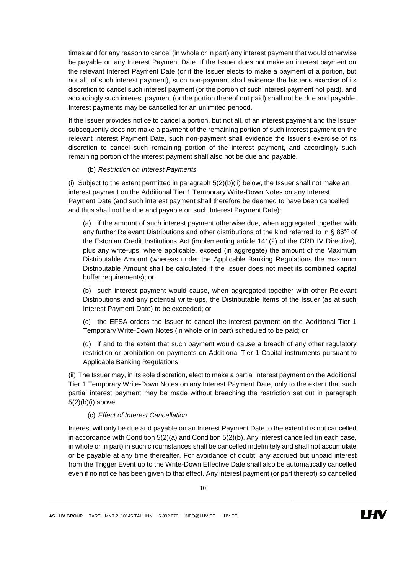times and for any reason to cancel (in whole or in part) any interest payment that would otherwise be payable on any Interest Payment Date. If the Issuer does not make an interest payment on the relevant Interest Payment Date (or if the Issuer elects to make a payment of a portion, but not all, of such interest payment), such non-payment shall evidence the Issuer's exercise of its discretion to cancel such interest payment (or the portion of such interest payment not paid), and accordingly such interest payment (or the portion thereof not paid) shall not be due and payable. Interest payments may be cancelled for an unlimited periood.

If the Issuer provides notice to cancel a portion, but not all, of an interest payment and the Issuer subsequently does not make a payment of the remaining portion of such interest payment on the relevant Interest Payment Date, such non-payment shall evidence the Issuer's exercise of its discretion to cancel such remaining portion of the interest payment, and accordingly such remaining portion of the interest payment shall also not be due and payable.

#### (b) *Restriction on Interest Payments*

<span id="page-9-0"></span>(i) Subject to the extent permitted in paragraph  $5(2)(b)(ii)$  $5(2)(b)(ii)$  $5(2)(b)(ii)$  below, the Issuer shall not make an interest payment on the Additional Tier 1 Temporary Write-Down Notes on any Interest Payment Date (and such interest payment shall therefore be deemed to have been cancelled and thus shall not be due and payable on such Interest Payment Date):

(a) if the amount of such interest payment otherwise due, when aggregated together with any further Relevant Distributions and other distributions of the kind referred to in § 86<sup>50</sup> of the Estonian Credit Institutions Act (implementing article 141(2) of the CRD IV Directive), plus any write-ups, where applicable, exceed (in aggregate) the amount of the Maximum Distributable Amount (whereas under the Applicable Banking Regulations the maximum Distributable Amount shall be calculated if the Issuer does not meet its combined capital buffer requirements); or

(b) such interest payment would cause, when aggregated together with other Relevant Distributions and any potential write-ups, the Distributable Items of the Issuer (as at such Interest Payment Date) to be exceeded; or

(c) the EFSA orders the Issuer to cancel the interest payment on the Additional Tier 1 Temporary Write-Down Notes (in whole or in part) scheduled to be paid; or

(d) if and to the extent that such payment would cause a breach of any other regulatory restriction or prohibition on payments on Additional Tier 1 Capital instruments pursuant to Applicable Banking Regulations.

(ii) The Issuer may, in its sole discretion, elect to make a partial interest payment on the Additional Tier 1 Temporary Write-Down Notes on any Interest Payment Date, only to the extent that such partial interest payment may be made without breaching the restriction set out in paragraph [5\(2\)](#page-8-0)[\(b\)\(i\)](#page-9-0) above.

#### (c) *Effect of Interest Cancellation*

Interest will only be due and payable on an Interest Payment Date to the extent it is not cancelled in accordance with Condition [5\(2\)](#page-8-0)[\(a\)](#page-8-1) and Condition [5\(2\)](#page-8-0)[\(b\).](#page-9-0) Any interest cancelled (in each case, in whole or in part) in such circumstances shall be cancelled indefinitely and shall not accumulate or be payable at any time thereafter. For avoidance of doubt, any accrued but unpaid interest from the Trigger Event up to the Write-Down Effective Date shall also be automatically cancelled even if no notice has been given to that effect. Any interest payment (or part thereof) so cancelled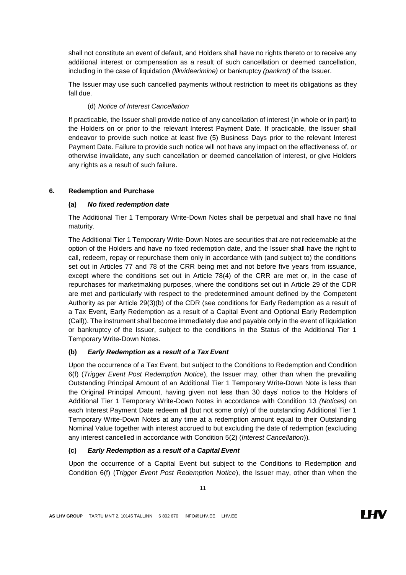shall not constitute an event of default, and Holders shall have no rights thereto or to receive any additional interest or compensation as a result of such cancellation or deemed cancellation, including in the case of liquidation *(likvideerimine)* or bankruptcy *(pankrot)* of the Issuer.

The Issuer may use such cancelled payments without restriction to meet its obligations as they fall due.

## (d) *Notice of Interest Cancellation*

If practicable, the Issuer shall provide notice of any cancellation of interest (in whole or in part) to the Holders on or prior to the relevant Interest Payment Date. If practicable, the Issuer shall endeavor to provide such notice at least five (5) Business Days prior to the relevant Interest Payment Date. Failure to provide such notice will not have any impact on the effectiveness of, or otherwise invalidate, any such cancellation or deemed cancellation of interest, or give Holders any rights as a result of such failure.

## <span id="page-10-0"></span>**6. Redemption and Purchase**

## **(a)** *No fixed redemption date*

The Additional Tier 1 Temporary Write-Down Notes shall be perpetual and shall have no final maturity.

The Additional Tier 1 Temporary Write-Down Notes are securities that are not redeemable at the option of the Holders and have no fixed redemption date, and the Issuer shall have the right to call, redeem, repay or repurchase them only in accordance with (and subject to) the conditions set out in Articles 77 and 78 of the CRR being met and not before five years from issuance, except where the conditions set out in Article 78(4) of the CRR are met or, in the case of repurchases for marketmaking purposes, where the conditions set out in Article 29 of the CDR are met and particularly with respect to the predetermined amount defined by the Competent Authority as per Article 29(3)(b) of the CDR (see conditions for Early Redemption as a result of a Tax Event, Early Redemption as a result of a Capital Event and Optional Early Redemption (Call)). The instrument shall become immediately due and payable only in the event of liquidation or bankruptcy of the Issuer, subject to the conditions in the Status of the Additional Tier 1 Temporary Write-Down Notes.

## <span id="page-10-1"></span>**(b)** *Early Redemption as a result of a Tax Event*

Upon the occurrence of a Tax Event, but subject to the Conditions to Redemption and Condition 6(f) (*Trigger Event Post Redemption Notice*), the Issuer may, other than when the prevailing Outstanding Principal Amount of an Additional Tier 1 Temporary Write-Down Note is less than the Original Principal Amount, having given not less than 30 days' notice to the Holders of Additional Tier 1 Temporary Write-Down Notes in accordance with Condition [13](#page-17-1) *(Notices)* on each Interest Payment Date redeem all (but not some only) of the outstanding Additional Tier 1 Temporary Write-Down Notes at any time at a redemption amount equal to their Outstanding Nominal Value together with interest accrued to but excluding the date of redemption (excluding any interest cancelled in accordance with Condition [5\(2\)](#page-8-0) (*Interest Cancellation*))*.*

## <span id="page-10-2"></span>**(c)** *Early Redemption as a result of a Capital Event*

Upon the occurrence of a Capital Event but subject to the Conditions to Redemption and Condition 6(f) (*Trigger Event Post Redemption Notice*), the Issuer may, other than when the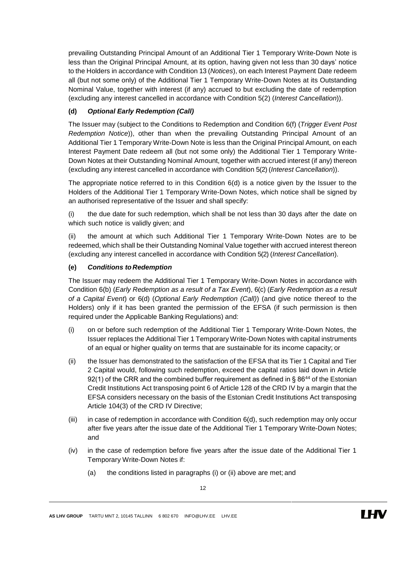prevailing Outstanding Principal Amount of an Additional Tier 1 Temporary Write-Down Note is less than the Original Principal Amount, at its option, having given not less than 30 days' notice to the Holders in accordance with Condition [13](#page-17-1) (*Notices*), on each Interest Payment Date redeem all (but not some only) of the Additional Tier 1 Temporary Write-Down Notes at its Outstanding Nominal Value, together with interest (if any) accrued to but excluding the date of redemption (excluding any interest cancelled in accordance with Condition [5\(2\)](#page-8-0) (*Interest Cancellation*)).

## <span id="page-11-1"></span>**(d)** *Optional Early Redemption (Call)*

The Issuer may (subject to the Conditions to Redemption and Condition [6\(f\)](#page-10-0) (*Trigger Event Post Redemption Notice*)), other than when the prevailing Outstanding Principal Amount of an Additional Tier 1 Temporary Write-Down Note is less than the Original Principal Amount, on each Interest Payment Date redeem all (but not some only) the Additional Tier 1 Temporary Write-Down Notes at their Outstanding Nominal Amount, together with accrued interest (if any) thereon (excluding any interest cancelled in accordance with Condition [5\(2\)](#page-8-0) (*Interest Cancellation*)).

The appropriate notice referred to in this Condition  $6(d)$  is a notice given by the Issuer to the Holders of the Additional Tier 1 Temporary Write-Down Notes, which notice shall be signed by an authorised representative of the Issuer and shall specify:

(i) the due date for such redemption, which shall be not less than 30 days after the date on which such notice is validly given; and

(ii) the amount at which such Additional Tier 1 Temporary Write-Down Notes are to be redeemed, which shall be their Outstanding Nominal Value together with accrued interest thereon (excluding any interest cancelled in accordance with Condition [5\(2\)](#page-8-0) (*Interest Cancellation*).

## <span id="page-11-0"></span>**(e)** *Conditions to Redemption*

The Issuer may redeem the Additional Tier 1 Temporary Write-Down Notes in accordance with Condition [6\(b\)](#page-10-0) (*Early Redemption as a result of a Tax Event*), [6\(c\)](#page-10-0) (*Early Redemption as a result of a Capital Event*) or [6\(d\)](#page-10-0) (*Optional Early Redemption (Call)*) (and give notice thereof to the Holders) only if it has been granted the permission of the EFSA (if such permission is then required under the Applicable Banking Regulations) and:

- (i) on or before such redemption of the Additional Tier 1 Temporary Write-Down Notes, the Issuer replaces the Additional Tier 1 Temporary Write-Down Notes with capital instruments of an equal or higher quality on terms that are sustainable for its income capacity; or
- (ii) the Issuer has demonstrated to the satisfaction of the EFSA that its Tier 1 Capital and Tier 2 Capital would, following such redemption, exceed the capital ratios laid down in Article  $92(1)$  of the CRR and the combined buffer requirement as defined in § 86<sup>44</sup> of the Estonian Credit Institutions Act transposing point 6 of Article 128 of the CRD IV by a margin that the EFSA considers necessary on the basis of the Estonian Credit Institutions Act transposing Article 104(3) of the CRD IV Directive;
- $(iii)$  in case of redemption in accordance with Condition  $6(d)$ , such redemption may only occur after five years after the issue date of the Additional Tier 1 Temporary Write-Down Notes; and
- (iv) in the case of redemption before five years after the issue date of the Additional Tier 1 Temporary Write-Down Notes if:
	- (a) the conditions listed in paragraphs (i) or (ii) above are met; and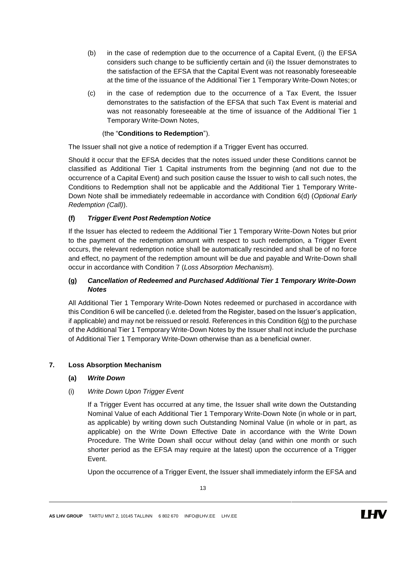- (b) in the case of redemption due to the occurrence of a Capital Event, (i) the EFSA considers such change to be sufficiently certain and (ii) the Issuer demonstrates to the satisfaction of the EFSA that the Capital Event was not reasonably foreseeable at the time of the issuance of the Additional Tier 1 Temporary Write-Down Notes;or
- (c) in the case of redemption due to the occurrence of a Tax Event, the Issuer demonstrates to the satisfaction of the EFSA that such Tax Event is material and was not reasonably foreseeable at the time of issuance of the Additional Tier 1 Temporary Write-Down Notes,

## (the "**Conditions to Redemption**").

The Issuer shall not give a notice of redemption if a Trigger Event has occurred.

Should it occur that the EFSA decides that the notes issued under these Conditions cannot be classified as Additional Tier 1 Capital instruments from the beginning (and not due to the occurrence of a Capital Event) and such position cause the Issuer to wish to call such notes, the Conditions to Redemption shall not be applicable and the Additional Tier 1 Temporary Write-Down Note shall be immediately redeemable in accordance with Condition [6\(d\)](#page-10-0) (*Optional Early Redemption (Call)*).

## **(f)** *Trigger Event Post Redemption Notice*

If the Issuer has elected to redeem the Additional Tier 1 Temporary Write-Down Notes but prior to the payment of the redemption amount with respect to such redemption, a Trigger Event occurs, the relevant redemption notice shall be automatically rescinded and shall be of no force and effect, no payment of the redemption amount will be due and payable and Write-Down shall occur in accordance with Condition [7](#page-12-0) (*Loss Absorption Mechanism*).

## **(g)** *Cancellation of Redeemed and Purchased Additional Tier 1 Temporary Write-Down Notes*

All Additional Tier 1 Temporary Write-Down Notes redeemed or purchased in accordance with this Condition 6 will be cancelled (i.e. deleted from the Register, based on the Issuer's application, if applicable) and may not be reissued or resold. References in this Condition [6\(g\)](#page-10-0) to the purchase of the Additional Tier 1 Temporary Write-Down Notes by the Issuer shall not include the purchase of Additional Tier 1 Temporary Write-Down otherwise than as a beneficial owner.

## <span id="page-12-0"></span>**7. Loss Absorption Mechanism**

### **(a)** *Write Down*

## (i) *Write Down Upon Trigger Event*

If a Trigger Event has occurred at any time, the Issuer shall write down the Outstanding Nominal Value of each Additional Tier 1 Temporary Write-Down Note (in whole or in part, as applicable) by writing down such Outstanding Nominal Value (in whole or in part, as applicable) on the Write Down Effective Date in accordance with the Write Down Procedure. The Write Down shall occur without delay (and within one month or such shorter period as the EFSA may require at the latest) upon the occurrence of a Trigger Event.

Upon the occurrence of a Trigger Event, the Issuer shall immediately inform the EFSA and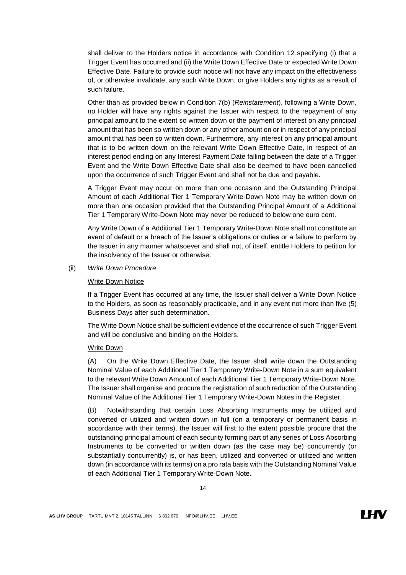shall deliver to the Holders notice in accordance with Condition [12](#page-17-0) specifying (i) that a Trigger Event has occurred and (ii) the Write Down Effective Date or expected Write Down Effective Date. Failure to provide such notice will not have any impact on the effectiveness of, or otherwise invalidate, any such Write Down, or give Holders any rights as a result of such failure.

Other than as provided below in Condition [7\(b\)](#page-12-0) (*Reinstatement*), following a Write Down, no Holder will have any rights against the Issuer with respect to the repayment of any principal amount to the extent so written down or the payment of interest on any principal amount that has been so written down or any other amount on or in respect of any principal amount that has been so written down. Furthermore, any interest on any principal amount that is to be written down on the relevant Write Down Effective Date, in respect of an interest period ending on any Interest Payment Date falling between the date of a Trigger Event and the Write Down Effective Date shall also be deemed to have been cancelled upon the occurrence of such Trigger Event and shall not be due and payable.

A Trigger Event may occur on more than one occasion and the Outstanding Principal Amount of each Additional Tier 1 Temporary Write-Down Note may be written down on more than one occasion provided that the Outstanding Principal Amount of a Additional Tier 1 Temporary Write-Down Note may never be reduced to below one euro cent.

Any Write Down of a Additional Tier 1 Temporary Write-Down Note shall not constitute an event of default or a breach of the Issuer's obligations or duties or a failure to perform by the Issuer in any manner whatsoever and shall not, of itself, entitle Holders to petition for the insolvency of the Issuer or otherwise.

<span id="page-13-0"></span>(ii) *Write Down Procedure*

#### Write Down Notice

If a Trigger Event has occurred at any time, the Issuer shall deliver a Write Down Notice to the Holders, as soon as reasonably practicable, and in any event not more than five (5) Business Days after such determination.

The Write Down Notice shall be sufficient evidence of the occurrence of such Trigger Event and will be conclusive and binding on the Holders.

#### Write Down

(A) On the Write Down Effective Date, the Issuer shall write down the Outstanding Nominal Value of each Additional Tier 1 Temporary Write-Down Note in a sum equivalent to the relevant Write Down Amount of each Additional Tier 1 Temporary Write-Down Note. The Issuer shall organise and procure the registration of such reduction of the Outstanding Nominal Value of the Additional Tier 1 Temporary Write-Down Notes in the Register.

(B) Notwithstanding that certain Loss Absorbing Instruments may be utilized and converted or utilized and written down in full (on a temporary or permanent basis in accordance with their terms), the Issuer will first to the extent possible procure that the outstanding principal amount of each security forming part of any series of Loss Absorbing Instruments to be converted or written down (as the case may be) concurrently (or substantially concurrently) is, or has been, utilized and converted or utilized and written down (in accordance with its terms) on a pro rata basis with the Outstanding Nominal Value of each Additional Tier 1 Temporary Write-Down Note.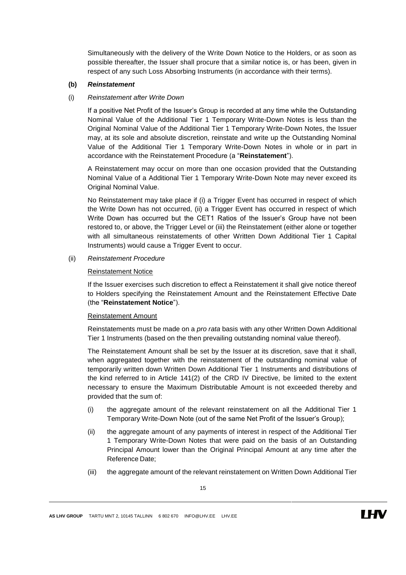Simultaneously with the delivery of the Write Down Notice to the Holders, or as soon as possible thereafter, the Issuer shall procure that a similar notice is, or has been, given in respect of any such Loss Absorbing Instruments (in accordance with their terms).

#### **(b)** *Reinstatement*

#### (i) *Reinstatement after Write Down*

If a positive Net Profit of the Issuer's Group is recorded at any time while the Outstanding Nominal Value of the Additional Tier 1 Temporary Write-Down Notes is less than the Original Nominal Value of the Additional Tier 1 Temporary Write-Down Notes, the Issuer may, at its sole and absolute discretion, reinstate and write up the Outstanding Nominal Value of the Additional Tier 1 Temporary Write-Down Notes in whole or in part in accordance with the Reinstatement Procedure (a "**Reinstatement**").

A Reinstatement may occur on more than one occasion provided that the Outstanding Nominal Value of a Additional Tier 1 Temporary Write-Down Note may never exceed its Original Nominal Value.

No Reinstatement may take place if (i) a Trigger Event has occurred in respect of which the Write Down has not occurred, (ii) a Trigger Event has occurred in respect of which Write Down has occurred but the CET1 Ratios of the Issuer's Group have not been restored to, or above, the Trigger Level or (iii) the Reinstatement (either alone or together with all simultaneous reinstatements of other Written Down Additional Tier 1 Capital Instruments) would cause a Trigger Event to occur.

(ii) *Reinstatement Procedure*

#### Reinstatement Notice

If the Issuer exercises such discretion to effect a Reinstatement it shall give notice thereof to Holders specifying the Reinstatement Amount and the Reinstatement Effective Date (the "**Reinstatement Notice**").

#### Reinstatement Amount

Reinstatements must be made on a *pro rata* basis with any other Written Down Additional Tier 1 Instruments (based on the then prevailing outstanding nominal value thereof).

The Reinstatement Amount shall be set by the Issuer at its discretion, save that it shall, when aggregated together with the reinstatement of the outstanding nominal value of temporarily written down Written Down Additional Tier 1 Instruments and distributions of the kind referred to in Article 141(2) of the CRD IV Directive, be limited to the extent necessary to ensure the Maximum Distributable Amount is not exceeded thereby and provided that the sum of:

- (i) the aggregate amount of the relevant reinstatement on all the Additional Tier 1 Temporary Write-Down Note (out of the same Net Profit of the Issuer's Group);
- (ii) the aggregate amount of any payments of interest in respect of the Additional Tier 1 Temporary Write-Down Notes that were paid on the basis of an Outstanding Principal Amount lower than the Original Principal Amount at any time after the Reference Date;
- (iii) the aggregate amount of the relevant reinstatement on Written Down Additional Tier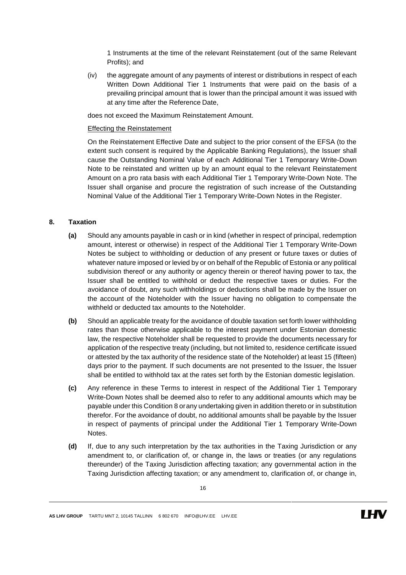1 Instruments at the time of the relevant Reinstatement (out of the same Relevant Profits); and

(iv) the aggregate amount of any payments of interest or distributions in respect of each Written Down Additional Tier 1 Instruments that were paid on the basis of a prevailing principal amount that is lower than the principal amount it was issued with at any time after the Reference Date,

does not exceed the Maximum Reinstatement Amount.

### Effecting the Reinstatement

On the Reinstatement Effective Date and subject to the prior consent of the EFSA (to the extent such consent is required by the Applicable Banking Regulations), the Issuer shall cause the Outstanding Nominal Value of each Additional Tier 1 Temporary Write-Down Note to be reinstated and written up by an amount equal to the relevant Reinstatement Amount on a pro rata basis with each Additional Tier 1 Temporary Write-Down Note. The Issuer shall organise and procure the registration of such increase of the Outstanding Nominal Value of the Additional Tier 1 Temporary Write-Down Notes in the Register.

#### <span id="page-15-0"></span>**8. Taxation**

- **(a)** Should any amounts payable in cash or in kind (whether in respect of principal, redemption amount, interest or otherwise) in respect of the Additional Tier 1 Temporary Write-Down Notes be subject to withholding or deduction of any present or future taxes or duties of whatever nature imposed or levied by or on behalf of the Republic of Estonia or any political subdivision thereof or any authority or agency therein or thereof having power to tax, the Issuer shall be entitled to withhold or deduct the respective taxes or duties. For the avoidance of doubt, any such withholdings or deductions shall be made by the Issuer on the account of the Noteholder with the Issuer having no obligation to compensate the withheld or deducted tax amounts to the Noteholder.
- **(b)** Should an applicable treaty for the avoidance of double taxation set forth lower withholding rates than those otherwise applicable to the interest payment under Estonian domestic law, the respective Noteholder shall be requested to provide the documents necessary for application of the respective treaty (including, but not limited to, residence certificate issued or attested by the tax authority of the residence state of the Noteholder) at least 15 (fifteen) days prior to the payment. If such documents are not presented to the Issuer, the Issuer shall be entitled to withhold tax at the rates set forth by the Estonian domestic legislation.
- **(c)** Any reference in these Terms to interest in respect of the Additional Tier 1 Temporary Write-Down Notes shall be deemed also to refer to any additional amounts which may be payable under this Conditio[n 8](#page-15-0) orany undertaking given in addition thereto or in substitution therefor. For the avoidance of doubt, no additional amounts shall be payable by the Issuer in respect of payments of principal under the Additional Tier 1 Temporary Write-Down Notes.
- **(d)** If, due to any such interpretation by the tax authorities in the Taxing Jurisdiction or any amendment to, or clarification of, or change in, the laws or treaties (or any regulations thereunder) of the Taxing Jurisdiction affecting taxation; any governmental action in the Taxing Jurisdiction affecting taxation; or any amendment to, clarification of, or change in,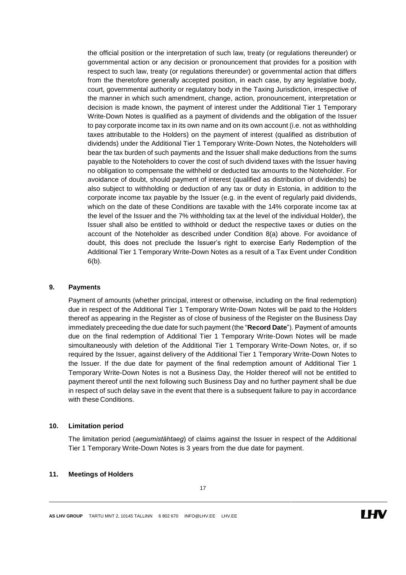the official position or the interpretation of such law, treaty (or regulations thereunder) or governmental action or any decision or pronouncement that provides for a position with respect to such law, treaty (or regulations thereunder) or governmental action that differs from the theretofore generally accepted position, in each case, by any legislative body, court, governmental authority or regulatory body in the Taxing Jurisdiction, irrespective of the manner in which such amendment, change, action, pronouncement, interpretation or decision is made known, the payment of interest under the Additional Tier 1 Temporary Write-Down Notes is qualified as a payment of dividends and the obligation of the Issuer to pay corporate income tax in its own name and on its own account (i.e. not as withholding taxes attributable to the Holders) on the payment of interest (qualified as distribution of dividends) under the Additional Tier 1 Temporary Write-Down Notes, the Noteholders will bear the tax burden of such payments and the Issuer shall make deductions from the sums payable to the Noteholders to cover the cost of such dividend taxes with the Issuer having no obligation to compensate the withheld or deducted tax amounts to the Noteholder. For avoidance of doubt, should payment of interest (qualified as distribution of dividends) be also subject to withholding or deduction of any tax or duty in Estonia, in addition to the corporate income tax payable by the Issuer (e.g. in the event of regularly paid dividends, which on the date of these Conditions are taxable with the 14% corporate income tax at the level of the Issuer and the 7% withholding tax at the level of the individual Holder), the Issuer shall also be entitled to withhold or deduct the respective taxes or duties on the account of the Noteholder as described under Condition [8\(a\)](#page-15-0) above. For avoidance of doubt, this does not preclude the Issuer's right to exercise Early Redemption of the Additional Tier 1 Temporary Write-Down Notes as a result of a Tax Event under Condition [6\(b\).](#page-10-1)

#### **9. Payments**

Payment of amounts (whether principal, interest or otherwise, including on the final redemption) due in respect of the Additional Tier 1 Temporary Write-Down Notes will be paid to the Holders thereof as appearing in the Register as of close of business of the Register on the Business Day immediately preceeding the due date for such payment (the "**Record Date**"). Payment of amounts due on the final redemption of Additional Tier 1 Temporary Write-Down Notes will be made simoultaneously with deletion of the Additional Tier 1 Temporary Write-Down Notes, or, if so required by the Issuer, against delivery of the Additional Tier 1 Temporary Write-Down Notes to the Issuer. If the due date for payment of the final redemption amount of Additional Tier 1 Temporary Write-Down Notes is not a Business Day, the Holder thereof will not be entitled to payment thereof until the next following such Business Day and no further payment shall be due in respect of such delay save in the event that there is a subsequent failure to pay in accordance with these Conditions.

#### **10. Limitation period**

The limitation period (*aegumistähtaeg*) of claims against the Issuer in respect of the Additional Tier 1 Temporary Write-Down Notes is 3 years from the due date for payment.

### **11. Meetings of Holders**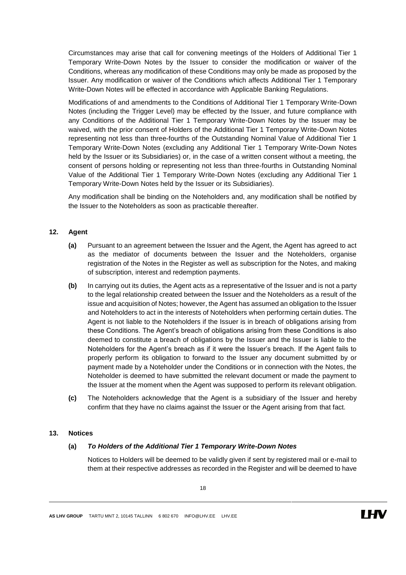Circumstances may arise that call for convening meetings of the Holders of Additional Tier 1 Temporary Write-Down Notes by the Issuer to consider the modification or waiver of the Conditions, whereas any modification of these Conditions may only be made as proposed by the Issuer. Any modification or waiver of the Conditions which affects Additional Tier 1 Temporary Write-Down Notes will be effected in accordance with Applicable Banking Regulations.

Modifications of and amendments to the Conditions of Additional Tier 1 Temporary Write-Down Notes (including the Trigger Level) may be effected by the Issuer, and future compliance with any Conditions of the Additional Tier 1 Temporary Write-Down Notes by the Issuer may be waived, with the prior consent of Holders of the Additional Tier 1 Temporary Write-Down Notes representing not less than three-fourths of the Outstanding Nominal Value of Additional Tier 1 Temporary Write-Down Notes (excluding any Additional Tier 1 Temporary Write-Down Notes held by the Issuer or its Subsidiaries) or, in the case of a written consent without a meeting, the consent of persons holding or representing not less than three-fourths in Outstanding Nominal Value of the Additional Tier 1 Temporary Write-Down Notes (excluding any Additional Tier 1 Temporary Write-Down Notes held by the Issuer or its Subsidiaries).

Any modification shall be binding on the Noteholders and, any modification shall be notified by the Issuer to the Noteholders as soon as practicable thereafter.

#### <span id="page-17-0"></span>**12. Agent**

- **(a)** Pursuant to an agreement between the Issuer and the Agent, the Agent has agreed to act as the mediator of documents between the Issuer and the Noteholders, organise registration of the Notes in the Register as well as subscription for the Notes, and making of subscription, interest and redemption payments.
- **(b)** In carrying out its duties, the Agent acts as a representative of the Issuer and is not a party to the legal relationship created between the Issuer and the Noteholders as a result of the issue and acquisition of Notes; however, the Agent has assumed an obligation to the Issuer and Noteholders to act in the interests of Noteholders when performing certain duties. The Agent is not liable to the Noteholders if the Issuer is in breach of obligations arising from these Conditions. The Agent's breach of obligations arising from these Conditions is also deemed to constitute a breach of obligations by the Issuer and the Issuer is liable to the Noteholders for the Agent's breach as if it were the Issuer's breach. If the Agent fails to properly perform its obligation to forward to the Issuer any document submitted by or payment made by a Noteholder under the Conditions or in connection with the Notes, the Noteholder is deemed to have submitted the relevant document or made the payment to the Issuer at the moment when the Agent was supposed to perform its relevant obligation.
- **(c)** The Noteholders acknowledge that the Agent is a subsidiary of the Issuer and hereby confirm that they have no claims against the Issuer or the Agent arising from that fact.

#### <span id="page-17-2"></span><span id="page-17-1"></span>**13. Notices**

#### **(a)** *To Holders of the Additional Tier 1 Temporary Write-Down Notes*

Notices to Holders will be deemed to be validly given if sent by registered mail or e-mail to them at their respective addresses as recorded in the Register and will be deemed to have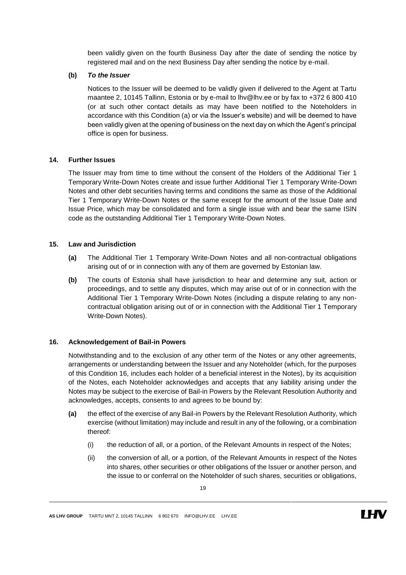been validly given on the fourth Business Day after the date of sending the notice by registered mail and on the next Business Day after sending the notice by e-mail.

#### **(b)** *To the Issuer*

Notices to the Issuer will be deemed to be validly given if delivered to the Agent at Tartu maantee 2, 10145 Tallinn, Estonia or by e-mail to lhv@lhv.ee or by fax to +372 6 800 410 (or at such other contact details as may have been notified to the Noteholders in accordance with this Condition [\(a\)](#page-17-2) or via the Issuer's website) and will be deemed to have been validly given at the opening of business on the next day on which the Agent's principal office is open for business.

#### **14. Further Issues**

The Issuer may from time to time without the consent of the Holders of the Additional Tier 1 Temporary Write-Down Notes create and issue further Additional Tier 1 Temporary Write-Down Notes and other debt securities having terms and conditions the same as those of the Additional Tier 1 Temporary Write-Down Notes or the same except for the amount of the Issue Date and Issue Price, which may be consolidated and form a single issue with and bear the same ISIN code as the outstanding Additional Tier 1 Temporary Write-Down Notes.

### **15. Law and Jurisdiction**

- **(a)** The Additional Tier 1 Temporary Write-Down Notes and all non-contractual obligations arising out of or in connection with any of them are governed by Estonian law.
- **(b)** The courts of Estonia shall have jurisdiction to hear and determine any suit, action or proceedings, and to settle any disputes, which may arise out of or in connection with the Additional Tier 1 Temporary Write-Down Notes (including a dispute relating to any noncontractual obligation arising out of or in connection with the Additional Tier 1 Temporary Write-Down Notes).

### <span id="page-18-0"></span>**16. Acknowledgement of Bail-in Powers**

Notwithstanding and to the exclusion of any other term of the Notes or any other agreements, arrangements or understanding between the Issuer and any Noteholder (which, for the purposes of this Condition [16,](#page-18-0) includes each holder of a beneficial interest in the Notes), by its acquisition of the Notes, each Noteholder acknowledges and accepts that any liability arising under the Notes may be subject to the exercise of Bail-in Powers by the Relevant Resolution Authority and acknowledges, accepts, consents to and agrees to be bound by:

- **(a)** the effect of the exercise of any Bail-in Powers by the Relevant Resolution Authority, which exercise (without limitation) may include and result in any of the following, or a combination thereof:
	- (i) the reduction of all, or a portion, of the Relevant Amounts in respect of the Notes;
	- (ii) the conversion of all, or a portion, of the Relevant Amounts in respect of the Notes into shares, other securities or other obligations of the Issuer or another person, and the issue to or conferral on the Noteholder of such shares, securities or obligations,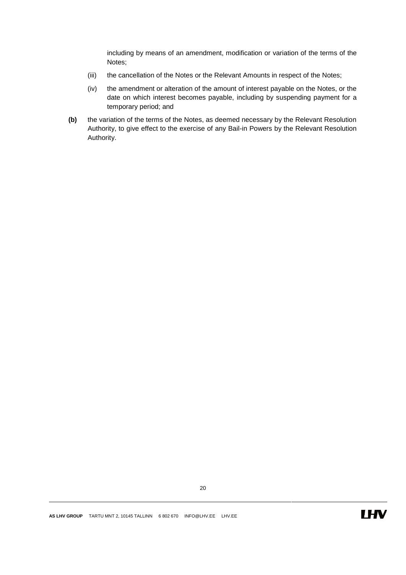including by means of an amendment, modification or variation of the terms of the Notes;

- (iii) the cancellation of the Notes or the Relevant Amounts in respect of the Notes;
- (iv) the amendment or alteration of the amount of interest payable on the Notes, or the date on which interest becomes payable, including by suspending payment for a temporary period; and
- **(b)** the variation of the terms of the Notes, as deemed necessary by the Relevant Resolution Authority, to give effect to the exercise of any Bail-in Powers by the Relevant Resolution Authority.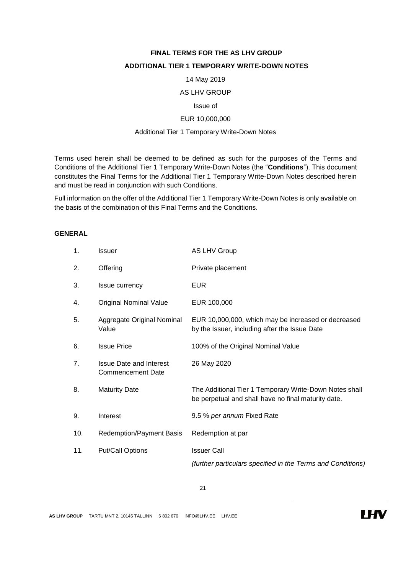## **FINAL TERMS FOR THE AS LHV GROUP**

## **ADDITIONAL TIER 1 TEMPORARY WRITE-DOWN NOTES**

#### 14 May 2019

#### AS LHV GROUP

#### Issue of

### EUR 10,000,000

#### Additional Tier 1 Temporary Write-Down Notes

Terms used herein shall be deemed to be defined as such for the purposes of the Terms and Conditions of the Additional Tier 1 Temporary Write-Down Notes (the "**Conditions**"). This document constitutes the Final Terms for the Additional Tier 1 Temporary Write-Down Notes described herein and must be read in conjunction with such Conditions.

Full information on the offer of the Additional Tier 1 Temporary Write-Down Notes is only available on the basis of the combination of this Final Terms and the Conditions.

## **GENERAL**

| 1.             | <b>Issuer</b>                                              | AS LHV Group                                                                                                  |
|----------------|------------------------------------------------------------|---------------------------------------------------------------------------------------------------------------|
| 2.             | Offering                                                   | Private placement                                                                                             |
| 3.             | Issue currency                                             | <b>EUR</b>                                                                                                    |
| 4.             | <b>Original Nominal Value</b>                              | EUR 100,000                                                                                                   |
| 5.             | Aggregate Original Nominal<br>Value                        | EUR 10,000,000, which may be increased or decreased<br>by the Issuer, including after the Issue Date          |
| 6.             | <b>Issue Price</b>                                         | 100% of the Original Nominal Value                                                                            |
| 7 <sub>1</sub> | <b>Issue Date and Interest</b><br><b>Commencement Date</b> | 26 May 2020                                                                                                   |
| 8.             | <b>Maturity Date</b>                                       | The Additional Tier 1 Temporary Write-Down Notes shall<br>be perpetual and shall have no final maturity date. |
| 9.             | Interest                                                   | 9.5 % per annum Fixed Rate                                                                                    |
| 10.            | Redemption/Payment Basis                                   | Redemption at par                                                                                             |
| 11.            | <b>Put/Call Options</b>                                    | <b>Issuer Call</b>                                                                                            |
|                |                                                            | (further particulars specified in the Terms and Conditions)                                                   |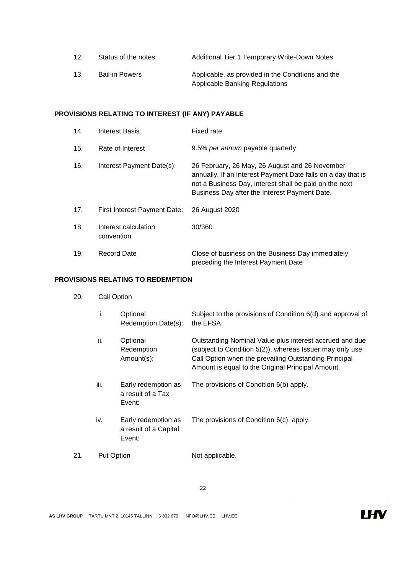| 12. | Status of the notes   | Additional Tier 1 Temporary Write-Down Notes      |
|-----|-----------------------|---------------------------------------------------|
| 13. | <b>Bail-in Powers</b> | Applicable, as provided in the Conditions and the |
|     |                       | <b>Applicable Banking Regulations</b>             |

## **PROVISIONS RELATING TO INTEREST (IF ANY) PAYABLE**

| 14. | Interest Basis                      | <b>Fixed rate</b>                                                                                                                                                                                                         |
|-----|-------------------------------------|---------------------------------------------------------------------------------------------------------------------------------------------------------------------------------------------------------------------------|
| 15. | Rate of Interest                    | 9.5% per annum payable quarterly                                                                                                                                                                                          |
| 16. | Interest Payment Date(s):           | 26 February, 26 May, 26 August and 26 November<br>annually. If an Interest Payment Date falls on a day that is<br>not a Business Day, interest shall be paid on the next<br>Business Day after the Interest Payment Date. |
| 17. | <b>First Interest Payment Date:</b> | 26 August 2020                                                                                                                                                                                                            |
| 18. | Interest calculation<br>convention  | 30/360                                                                                                                                                                                                                    |
| 19. | Record Date                         | Close of business on the Business Day immediately<br>preceding the Interest Payment Date                                                                                                                                  |

## **PROVISIONS RELATING TO REDEMPTION**

20. Call Option

|     | i.                | Optional<br>Redemption Date(s):                        | Subject to the provisions of Condition 6(d) and approval of<br>the EFSA.                                                                                                                                                          |
|-----|-------------------|--------------------------------------------------------|-----------------------------------------------------------------------------------------------------------------------------------------------------------------------------------------------------------------------------------|
|     | ii.               | Optional<br>Redemption<br>Amount(s):                   | Outstanding Nominal Value plus interest accrued and due<br>(subject to Condition 5(2)), whereas Issuer may only use<br>Call Option when the prevailing Outstanding Principal<br>Amount is equal to the Original Principal Amount. |
|     | iii.              | Early redemption as<br>a result of a Tax<br>Event:     | The provisions of Condition 6(b) apply.                                                                                                                                                                                           |
|     | iv.               | Early redemption as<br>a result of a Capital<br>Event: | The provisions of Condition 6(c) apply.                                                                                                                                                                                           |
| 21. | <b>Put Option</b> |                                                        | Not applicable.                                                                                                                                                                                                                   |